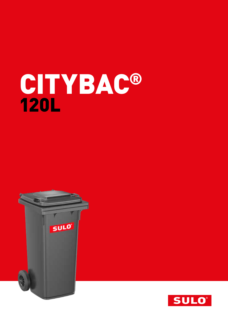# CITYBAC® 120L



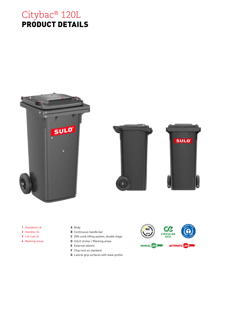## Citybac® 120L PRODUCT DETAILS







- **1** Standard Lid
- **2** Handles 2x
- **3** Lid rivet 2x
- **4** Marking areas

### **A** Body

- **B** Continuous handle bar
- **C** DIN comb lifting system, double stage
- **D** SULO sticker / Marking areas
- **E** External wheels
- **F** Chip nest as standard
- **G** Lateral grip surfaces with wave profile

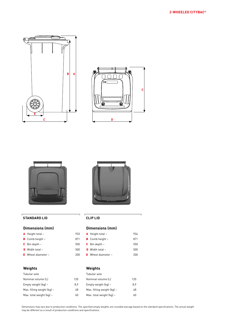





### **STANDARD LID CLIP LID**

### **Dimensions (mm)**

- A Height total ~ 933
- B Comb height ~ 871
- **C** Bin depth  $\sim$  550
- **D** Width total  $\sim$  500
- E Wheel diameter  $\sim$  200

### **Weights**

### Tubular axle Nominal volume (L) Empty weight (kg)  $\sim$ Max. filling weight (kg) ~ Max. total weight  $(kg)$  ~ Tubular axle



### **Dimensions (mm)**

| <b>A</b> Height total $\sim$   | 934 |
|--------------------------------|-----|
| <b>B</b> Comb height $\sim$    | 871 |
| <b>C</b> Bin depth $\sim$      | 550 |
| <b>D</b> Width total $\sim$    | 500 |
| <b>E</b> Wheel diameter $\sim$ | 200 |

### **Weights**

|     | Tubular axle                                 |     |
|-----|----------------------------------------------|-----|
| 120 | Nominal volume (L)                           | 120 |
| 8.9 | Empty weight $(kq)$ ~                        | 8.9 |
| 48  | Max. filling weight $\lceil \log n \rceil$ ~ | 48  |
| 60  | Max. total weight $[kq]$ ~                   | 60  |
|     |                                              |     |

Dimensions may vary due to production conditions. The specified empty weights are rounded average based on the standard specifications. The actual weight may be different as a result of production conditions and specifications.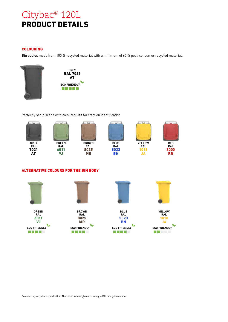# Citybac® 120L PRODUCT DETAILS

### COLOURING

**Bin bodies** made from 100 % recycled material with a minimum of 60 % post-consumer recycled material.



Perfectly set in scene with coloured lids for fraction identification



### ALTERNATIVE COLOURS FOR THE BIN BODY



Colours may vary due to production. The colour values given according to RAL are guide colours.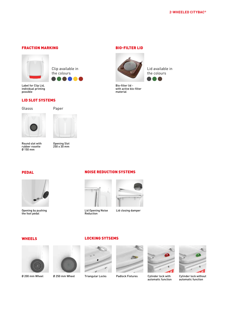### FRACTION MARKING BIO-FILTER LID



Clip available in the colours

Label for Clip Lid, individual printing possible

### LID SLOT SYSTEMS





Round slot with rubber rosette Ø 150 mm



250 x 30 mm



Lid available in the colours

Bio-filter lid with active bio-filter material





Opening by pushing the foot pedal

### NOISE REDUCTION SYSTEMS



Lid Opening Noise Reduction

Lid closing damper

### WHEELS



Ø 200 mm Wheel





LOCKING SYTSEMS



Ø 250 mm Wheel Triangular Locks Padlock Fixtures Cylinder lock with



automatic function



Cylinder lock without automatic function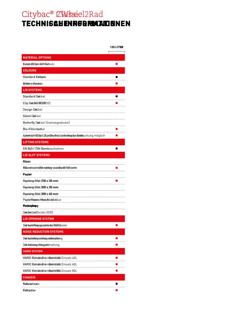### Citybac® **C\assic**el2Rad TECHNIS**QUENRGRMATION**NEN **2Wheel2** TECHNIS**ah Enre Braaid N**

|                                                                            | <b>120 LITRR</b> |
|----------------------------------------------------------------------------|------------------|
| <b>MATERIAL OPTIONS</b>                                                    |                  |
| Eux sia dlive I pero tolvet for chutz                                      | Ш                |
| <b>COLOURS</b>                                                             |                  |
| Standard Ealdwers                                                          |                  |
| <b>Athlere Flactren</b>                                                    |                  |
| <b>LID SYSTEMS</b>                                                         |                  |
| Standard Dieckel                                                           |                  |
| Clip Died KEU (FEOURO2)                                                    |                  |
| Design Dielckel                                                            |                  |
| <b>Silent Diec</b> kel                                                     |                  |
| Butterfly Dieckel (Zweiwegedeckel)                                         |                  |
| Bio-Filterdedkel                                                           |                  |
| KabelsfohildlifpirLicitiphideoidealipdintoituge the sBetalleuckung möglich |                  |
| <b>LIFTING SYSTEMS</b>                                                     |                  |
| EN 840 / DIN Kambaufnahme                                                  | H                |
| <b>LID SLOT SYSTEMS</b>                                                    |                  |
| Glass                                                                      |                  |
| R50 mahslotit/Bitendbitren und eßten (Antibölsrette                        |                  |
| Papierr<br>                                                                |                  |
| <b>Papieinsc Slotz 250 x 30 mmm</b>                                        |                  |
| <b>Paprensc Slotz 300 x 30 mmm</b>                                         |                  |
| <b>Papieinsg Slotz 3000 x 60 mmm</b>                                       |                  |
| Papieen Peanpwerut nih beatu Hedoda blue                                   |                  |
| <b>Packagkung</b>                                                          |                  |
| Diedekme-lLindDeckel(DID)                                                  |                  |
| <b>LID OPENING SYSTEM</b>                                                  |                  |
| Diedcokpe börfinang gystyeste rbny (DoGo Gobedal                           |                  |
| <b>NOISE REDUCTION SYSTEMS</b>                                             |                  |
| Dielckpeinbiegsrobilsegseläuropiformg                                      |                  |
| Dieckleds unschlaange beimpfung                                            |                  |
| <b>VARIO SYSTEM</b>                                                        |                  |
| VARIOBerhänteBrinn-InBeedmäl4a0nLEinsatz40L                                |                  |
| VARIOBerhäntteBrinin HBeedmäló60nLEinsatz 60 L                             |                  |
| VARIO BerhäntteBrinn InBeedräll80nLEinsatz 80L<br><b>CHASSIS</b>           |                  |
| <b>Robburbach snele</b>                                                    |                  |
| Fallanchee                                                                 |                  |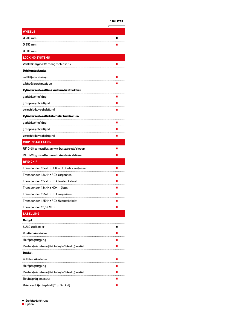### **120 LITER**

|                                                                      | <b>120 LITRR</b>                                                                         |
|----------------------------------------------------------------------|------------------------------------------------------------------------------------------|
| <b>WHEELS</b>                                                        |                                                                                          |
| Ø 200 mm                                                             |                                                                                          |
| Ø 250 mm                                                             |                                                                                          |
| .<br>Ø 300 mm                                                        |                                                                                          |
| <b>LOCKING SYSTEMS</b>                                               |                                                                                          |
| Partlichtuteyitür Morhängeschloss 1x                                 |                                                                                          |
| <b>Drieikgatschlocks</b>                                             |                                                                                          |
| wiitthOoffeennspedsutringn                                           |                                                                                          |
| whitheo Otffeen estephousnigion                                      |                                                                                          |
| <b>Eylindersicklosattuut Automatik fünckolo</b> n                    |                                                                                          |
| glærræhlsæyhloæfkeinigt                                              |                                                                                          |
| grappelveysconcheinighd                                              |                                                                                          |
| deffechietdery schlkijengend                                         |                                                                                          |
| <b>Eylindersick lossith is utotoat at ik Hatinktion</b>              |                                                                                          |
| g berinden keecyh Lioed Reimgl                                       |                                                                                          |
| grappelveyschockeinighd                                              |                                                                                          |
| deffechinetdeary stocklien@end                                       | $\mathcal{L}(\mathcal{L})$ and $\mathcal{L}(\mathcal{L})$ and $\mathcal{L}(\mathcal{L})$ |
| <b>CHIP INSTALLATION</b>                                             |                                                                                          |
| RFID-Chipp imstratilentton hwitchBautdoralne-oAdeflsteddeen          |                                                                                          |
| RFID-Chipp imstratileatto mivtiBab and edAuflick been                |                                                                                          |
| <b>RFID CHIP</b>                                                     |                                                                                          |
| Transponder 134kHz HDX + HID Inlay verdedsen                         |                                                                                          |
| <b>Transponder 134kHz FDX vesteds</b> en                             |                                                                                          |
|                                                                      |                                                                                          |
| Transponder 134kHz HDX + Glass                                       |                                                                                          |
| <b>Transponder 125kHz FDX verdeds</b> en                             |                                                                                          |
| Transponder 125kHz FDX <del>Sitiéttsoc</del> kelniet                 |                                                                                          |
| Transponder 13,56 MHz                                                |                                                                                          |
| <b>LABELLING</b>                                                     |                                                                                          |
| <b>Badypf</b>                                                        |                                                                                          |
| <b>SULO Atudklærber</b>                                              |                                                                                          |
| <b>Kuntten ekuftitekter</b> r                                        |                                                                                          |
| Hetffpräsntamgping                                                   |                                                                                          |
| Raumfreim djen Nicroherre r(¢fæl o bulde s/ss/c brvændrez//wwheit@ll |                                                                                          |
| Diedckel                                                             |                                                                                          |
| <b>KULu0esti&amp;kolk</b> leben                                      |                                                                                          |
| Hetffprläsntamngping                                                 |                                                                                          |
| RaunfreimigenNumberrer(tfalobuldes/ss/cb/waarkz//wwheit@l)           |                                                                                          |
| <b>⊟end koespinäg enesiest</b> itz                                   |                                                                                          |
| <b>Drintloaut like (Clisphild)</b> (Clip Deckel)                     |                                                                                          |